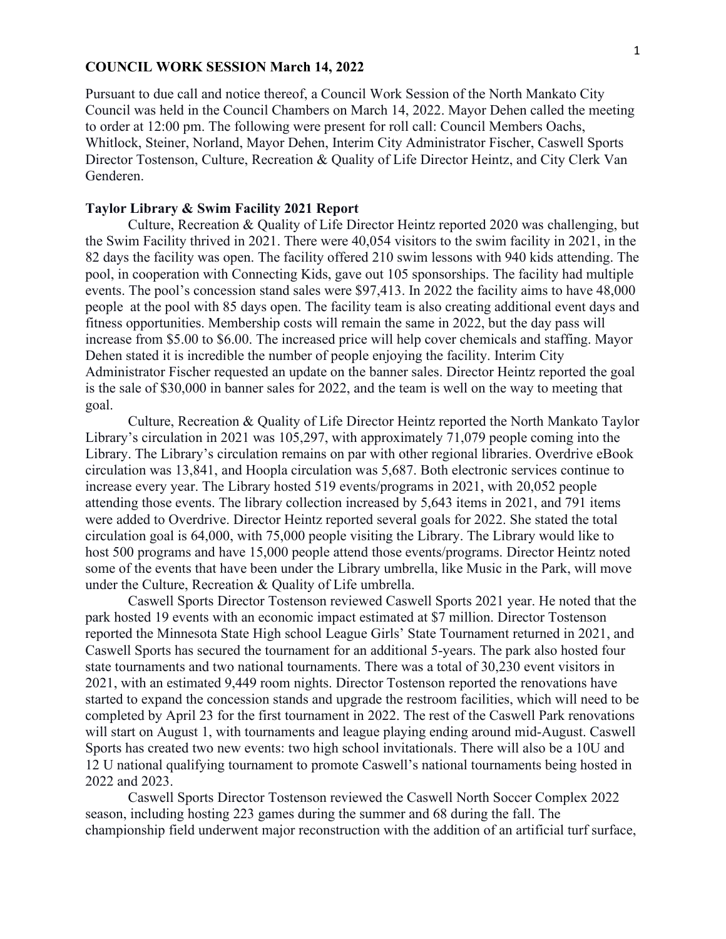## **COUNCIL WORK SESSION March 14, 2022**

Pursuant to due call and notice thereof, a Council Work Session of the North Mankato City Council was held in the Council Chambers on March 14, 2022. Mayor Dehen called the meeting to order at 12:00 pm. The following were present for roll call: Council Members Oachs, Whitlock, Steiner, Norland, Mayor Dehen, Interim City Administrator Fischer, Caswell Sports Director Tostenson, Culture, Recreation & Quality of Life Director Heintz, and City Clerk Van Genderen.

## **Taylor Library & Swim Facility 2021 Report**

Culture, Recreation & Quality of Life Director Heintz reported 2020 was challenging, but the Swim Facility thrived in 2021. There were 40,054 visitors to the swim facility in 2021, in the 82 days the facility was open. The facility offered 210 swim lessons with 940 kids attending. The pool, in cooperation with Connecting Kids, gave out 105 sponsorships. The facility had multiple events. The pool's concession stand sales were \$97,413. In 2022 the facility aims to have 48,000 people at the pool with 85 days open. The facility team is also creating additional event days and fitness opportunities. Membership costs will remain the same in 2022, but the day pass will increase from \$5.00 to \$6.00. The increased price will help cover chemicals and staffing. Mayor Dehen stated it is incredible the number of people enjoying the facility. Interim City Administrator Fischer requested an update on the banner sales. Director Heintz reported the goal is the sale of \$30,000 in banner sales for 2022, and the team is well on the way to meeting that goal.

Culture, Recreation & Quality of Life Director Heintz reported the North Mankato Taylor Library's circulation in 2021 was 105,297, with approximately 71,079 people coming into the Library. The Library's circulation remains on par with other regional libraries. Overdrive eBook circulation was 13,841, and Hoopla circulation was 5,687. Both electronic services continue to increase every year. The Library hosted 519 events/programs in 2021, with 20,052 people attending those events. The library collection increased by 5,643 items in 2021, and 791 items were added to Overdrive. Director Heintz reported several goals for 2022. She stated the total circulation goal is 64,000, with 75,000 people visiting the Library. The Library would like to host 500 programs and have 15,000 people attend those events/programs. Director Heintz noted some of the events that have been under the Library umbrella, like Music in the Park, will move under the Culture, Recreation & Quality of Life umbrella.

Caswell Sports Director Tostenson reviewed Caswell Sports 2021 year. He noted that the park hosted 19 events with an economic impact estimated at \$7 million. Director Tostenson reported the Minnesota State High school League Girls' State Tournament returned in 2021, and Caswell Sports has secured the tournament for an additional 5-years. The park also hosted four state tournaments and two national tournaments. There was a total of 30,230 event visitors in 2021, with an estimated 9,449 room nights. Director Tostenson reported the renovations have started to expand the concession stands and upgrade the restroom facilities, which will need to be completed by April 23 for the first tournament in 2022. The rest of the Caswell Park renovations will start on August 1, with tournaments and league playing ending around mid-August. Caswell Sports has created two new events: two high school invitationals. There will also be a 10U and 12 U national qualifying tournament to promote Caswell's national tournaments being hosted in 2022 and 2023.

Caswell Sports Director Tostenson reviewed the Caswell North Soccer Complex 2022 season, including hosting 223 games during the summer and 68 during the fall. The championship field underwent major reconstruction with the addition of an artificial turf surface,